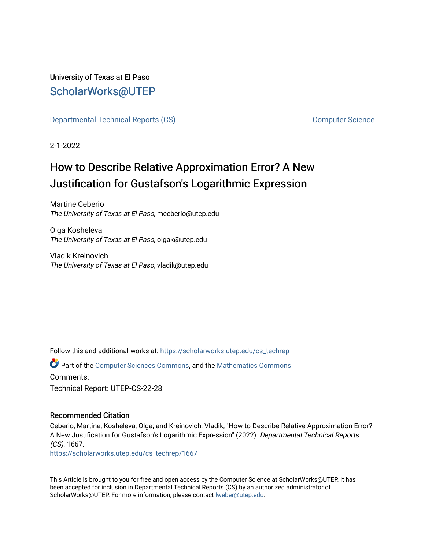# University of Texas at El Paso [ScholarWorks@UTEP](https://scholarworks.utep.edu/)

[Departmental Technical Reports \(CS\)](https://scholarworks.utep.edu/cs_techrep) [Computer Science](https://scholarworks.utep.edu/computer) 

2-1-2022

# How to Describe Relative Approximation Error? A New Justification for Gustafson's Logarithmic Expression

Martine Ceberio The University of Texas at El Paso, mceberio@utep.edu

Olga Kosheleva The University of Texas at El Paso, olgak@utep.edu

Vladik Kreinovich The University of Texas at El Paso, vladik@utep.edu

Follow this and additional works at: [https://scholarworks.utep.edu/cs\\_techrep](https://scholarworks.utep.edu/cs_techrep?utm_source=scholarworks.utep.edu%2Fcs_techrep%2F1667&utm_medium=PDF&utm_campaign=PDFCoverPages) 

Part of the [Computer Sciences Commons](http://network.bepress.com/hgg/discipline/142?utm_source=scholarworks.utep.edu%2Fcs_techrep%2F1667&utm_medium=PDF&utm_campaign=PDFCoverPages), and the [Mathematics Commons](http://network.bepress.com/hgg/discipline/174?utm_source=scholarworks.utep.edu%2Fcs_techrep%2F1667&utm_medium=PDF&utm_campaign=PDFCoverPages)  Comments: Technical Report: UTEP-CS-22-28

# Recommended Citation

Ceberio, Martine; Kosheleva, Olga; and Kreinovich, Vladik, "How to Describe Relative Approximation Error? A New Justification for Gustafson's Logarithmic Expression" (2022). Departmental Technical Reports (CS). 1667.

[https://scholarworks.utep.edu/cs\\_techrep/1667](https://scholarworks.utep.edu/cs_techrep/1667?utm_source=scholarworks.utep.edu%2Fcs_techrep%2F1667&utm_medium=PDF&utm_campaign=PDFCoverPages) 

This Article is brought to you for free and open access by the Computer Science at ScholarWorks@UTEP. It has been accepted for inclusion in Departmental Technical Reports (CS) by an authorized administrator of ScholarWorks@UTEP. For more information, please contact [lweber@utep.edu](mailto:lweber@utep.edu).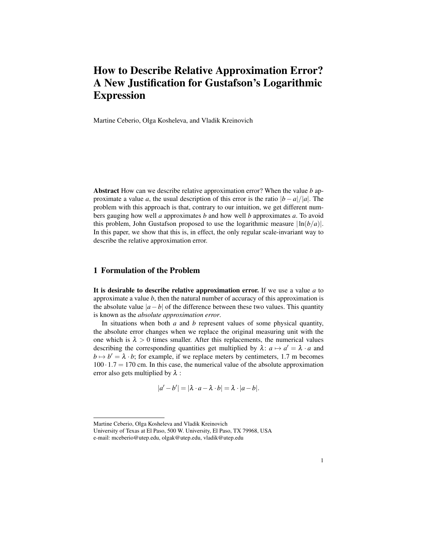# How to Describe Relative Approximation Error? A New Justification for Gustafson's Logarithmic Expression

Martine Ceberio, Olga Kosheleva, and Vladik Kreinovich

Abstract How can we describe relative approximation error? When the value *b* approximate a value *a*, the usual description of this error is the ratio  $|b - a|/|a|$ . The problem with this approach is that, contrary to our intuition, we get different numbers gauging how well *a* approximates *b* and how well *b* approximates *a*. To avoid this problem, John Gustafson proposed to use the logarithmic measure  $\ln(b/a)$ . In this paper, we show that this is, in effect, the only regular scale-invariant way to describe the relative approximation error.

# 1 Formulation of the Problem

It is desirable to describe relative approximation error. If we use a value *a* to approximate a value *b*, then the natural number of accuracy of this approximation is the absolute value  $|a - b|$  of the difference between these two values. This quantity is known as the *absolute approximation error*.

In situations when both *a* and *b* represent values of some physical quantity, the absolute error changes when we replace the original measuring unit with the one which is  $\lambda > 0$  times smaller. After this replacements, the numerical values describing the corresponding quantities get multiplied by  $\lambda: a \mapsto a' = \lambda \cdot a$  and  $b \mapsto b' = \lambda \cdot b$ ; for example, if we replace meters by centimeters, 1.7 m becomes  $100 \cdot 1.7 = 170$  cm. In this case, the numerical value of the absolute approximation error also gets multiplied by  $\lambda$  :

$$
|a'-b'|=|\lambda\cdot a-\lambda\cdot b|=\lambda\cdot|a-b|.
$$

Martine Ceberio, Olga Kosheleva and Vladik Kreinovich

University of Texas at El Paso, 500 W. University, El Paso, TX 79968, USA

e-mail: mceberio@utep.edu, olgak@utep.edu, vladik@utep.edu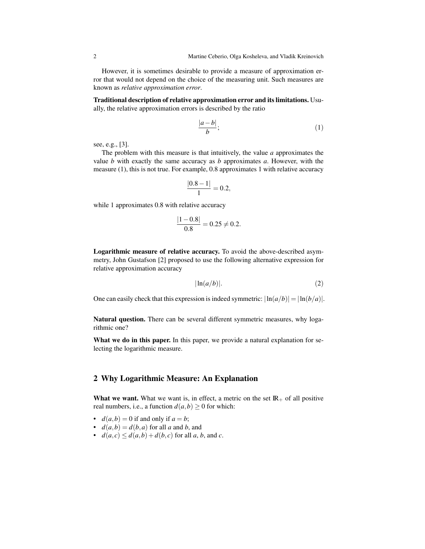However, it is sometimes desirable to provide a measure of approximation error that would not depend on the choice of the measuring unit. Such measures are known as *relative approximation error*.

Traditional description of relative approximation error and its limitations. Usually, the relative approximation errors is described by the ratio

$$
\frac{|a-b|}{b};\tag{1}
$$

see, e.g., [3].

The problem with this measure is that intuitively, the value *a* approximates the value *b* with exactly the same accuracy as *b* approximates *a*. However, with the measure (1), this is not true. For example, 0.8 approximates 1 with relative accuracy

$$
\frac{|0.8-1|}{1} = 0.2,
$$

while 1 approximates 0.8 with relative accuracy

$$
\frac{|1-0.8|}{0.8} = 0.25 \neq 0.2.
$$

Logarithmic measure of relative accuracy. To avoid the above-described asymmetry, John Gustafson [2] proposed to use the following alternative expression for relative approximation accuracy

$$
|\ln(a/b)|.\t(2)
$$

One can easily check that this expression is indeed symmetric:  $|\ln(a/b)| = |\ln(b/a)|$ .

Natural question. There can be several different symmetric measures, why logarithmic one?

What we do in this paper. In this paper, we provide a natural explanation for selecting the logarithmic measure.

## 2 Why Logarithmic Measure: An Explanation

What we want. What we want is, in effect, a metric on the set  $\mathbb{R}_+$  of all positive real numbers, i.e., a function  $d(a,b) \ge 0$  for which:

- $d(a,b) = 0$  if and only if  $a = b$ ;
- $d(a,b) = d(b,a)$  for all *a* and *b*, and
- $d(a, c) \leq d(a, b) + d(b, c)$  for all *a*, *b*, and *c*.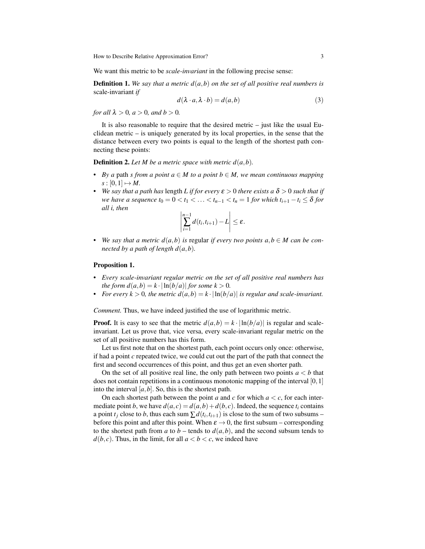How to Describe Relative Approximation Error? 3

We want this metric to be *scale-invariant* in the following precise sense:

**Definition 1.** We say that a metric  $d(a,b)$  on the set of all positive real numbers is scale-invariant *if*

$$
d(\lambda \cdot a, \lambda \cdot b) = d(a, b) \tag{3}
$$

*for all*  $\lambda > 0$ *, a*  $> 0$ *, and b*  $> 0$ *.* 

It is also reasonable to require that the desired metric  $-$  just like the usual Euclidean metric  $-$  is uniquely generated by its local properties, in the sense that the distance between every two points is equal to the length of the shortest path connecting these points:

**Definition 2.** Let M be a metric space with metric  $d(a,b)$ .

- *• By a* path *s from a point a* ∈ *M to a point b* ∈ *M, we mean continuous mapping*  $s : [0,1] \mapsto M$ .
- **•** *We say that a path has length L if for every*  $\varepsilon > 0$  *there exists a*  $\delta > 0$  *such that if we have a sequence*  $t_0 = 0 < t_1 < \ldots < t_{n-1} < t_n = 1$  *for which*  $t_{i+1} - t_i \leq \delta$  *for all i, then*

$$
\left|\sum_{i=1}^{n-1}d(t_i,t_{i+1})-L\right|\leq \varepsilon.
$$

• We say that a metric  $d(a,b)$  is regular *if every two points*  $a,b \in M$  can be con*nected by a path of length*  $d(a,b)$ *.* 

#### Proposition 1.

- *• Every scale-invariant regular metric on the set of all positive real numbers has the form*  $d(a,b) = k \cdot |\ln(b/a)|$  *for some k* > 0*.*
- *For every k* > 0, the metric  $d(a,b) = k \cdot |\ln(b/a)|$  *is regular and scale-invariant.*

*Comment.* Thus, we have indeed justified the use of logarithmic metric.

**Proof.** It is easy to see that the metric  $d(a,b) = k \cdot |\ln(b/a)|$  is regular and scaleinvariant. Let us prove that, vice versa, every scale-invariant regular metric on the set of all positive numbers has this form.

Let us first note that on the shortest path, each point occurs only once: otherwise, if had a point *c* repeated twice, we could cut out the part of the path that connect the first and second occurrences of this point, and thus get an even shorter path.

On the set of all positive real line, the only path between two points  $a < b$  that does not contain repetitions in a continuous monotonic mapping of the interval [0,1] into the interval  $[a, b]$ . So, this is the shortest path.

On each shortest path between the point *a* and *c* for which  $a < c$ , for each intermediate point *b*, we have  $d(a, c) = d(a, b) + d(b, c)$ . Indeed, the sequence  $t_i$  contains a point  $t_j$  close to *b*, thus each sum  $\sum d(t_i, t_{i+1})$  is close to the sum of two subsums – before this point and after this point. When  $\varepsilon \to 0$ , the first subsum – corresponding to the shortest path from *a* to  $b$  – tends to  $d(a, b)$ , and the second subsum tends to  $d(b, c)$ . Thus, in the limit, for all  $a < b < c$ , we indeed have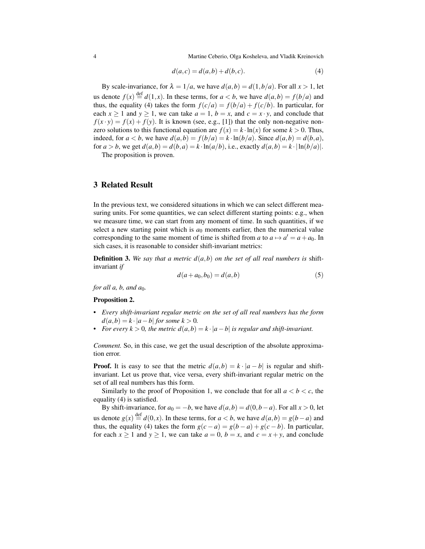4 Martine Ceberio, Olga Kosheleva, and Vladik Kreinovich

$$
d(a,c) = d(a,b) + d(b,c).
$$
 (4)

By scale-invariance, for  $\lambda = 1/a$ , we have  $d(a,b) = d(1,b/a)$ . For all  $x > 1$ , let us denote  $f(x) \stackrel{\text{def}}{=} d(1,x)$ . In these terms, for  $a < b$ , we have  $d(a,b) = f(b/a)$  and thus, the equality (4) takes the form  $f(c/a) = f(b/a) + f(c/b)$ . In particular, for each  $x \ge 1$  and  $y \ge 1$ , we can take  $a = 1$ ,  $b = x$ , and  $c = x \cdot y$ , and conclude that  $f(x \cdot y) = f(x) + f(y)$ . It is known (see, e.g., [1]) that the only non-negative nonzero solutions to this functional equation are  $f(x) = k \cdot \ln(x)$  for some  $k > 0$ . Thus, indeed, for  $a < b$ , we have  $d(a,b) = f(b/a) = k \cdot \ln(b/a)$ . Since  $d(a,b) = d(b,a)$ , for  $a > b$ , we get  $d(a,b) = d(b,a) = k \cdot \ln(a/b)$ , i.e., exactly  $d(a,b) = k \cdot \ln(b/a)$ .

The proposition is proven.

## 3 Related Result

In the previous text, we considered situations in which we can select different measuring units. For some quantities, we can select different starting points: e.g., when we measure time, we can start from any moment of time. In such quantities, if we select a new starting point which is  $a_0$  moments earlier, then the numerical value corresponding to the same moment of time is shifted from *a* to  $a \mapsto a' = a + a_0$ . In sich cases, it is reasonable to consider shift-invariant metrics:

Definition 3. *We say that a metric d*(*a*,*b*) *on the set of all real numbers is* shiftinvariant *if*

$$
d(a + a_0, b_0) = d(a, b)
$$
 (5)

*for all a, b, and*  $a_0$ *.* 

#### Proposition 2.

- *• Every shift-invariant regular metric on the set of all real numbers has the form*  $d(a,b) = k \cdot |a-b|$  *for some k* > 0*.*
- *For every k* > 0*, the metric d*( $a$ *,b*) =  $k \cdot |a-b|$  *is regular and shift-invariant.*

*Comment.* So, in this case, we get the usual description of the absolute approximation error.

**Proof.** It is easy to see that the metric  $d(a,b) = k \cdot |a-b|$  is regular and shiftinvariant. Let us prove that, vice versa, every shift-invariant regular metric on the set of all real numbers has this form.

Similarly to the proof of Proposition 1, we conclude that for all  $a < b < c$ , the equality (4) is satisfied.

By shift-invariance, for  $a_0 = -b$ , we have  $d(a, b) = d(0, b - a)$ . For all  $x > 0$ , let us denote  $g(x) \stackrel{\text{def}}{=} d(0, x)$ . In these terms, for  $a < b$ , we have  $d(a, b) = g(b - a)$  and thus, the equality (4) takes the form  $g(c-a) = g(b-a) + g(c-b)$ . In particular, for each  $x \ge 1$  and  $y \ge 1$ , we can take  $a = 0$ ,  $b = x$ , and  $c = x + y$ , and conclude